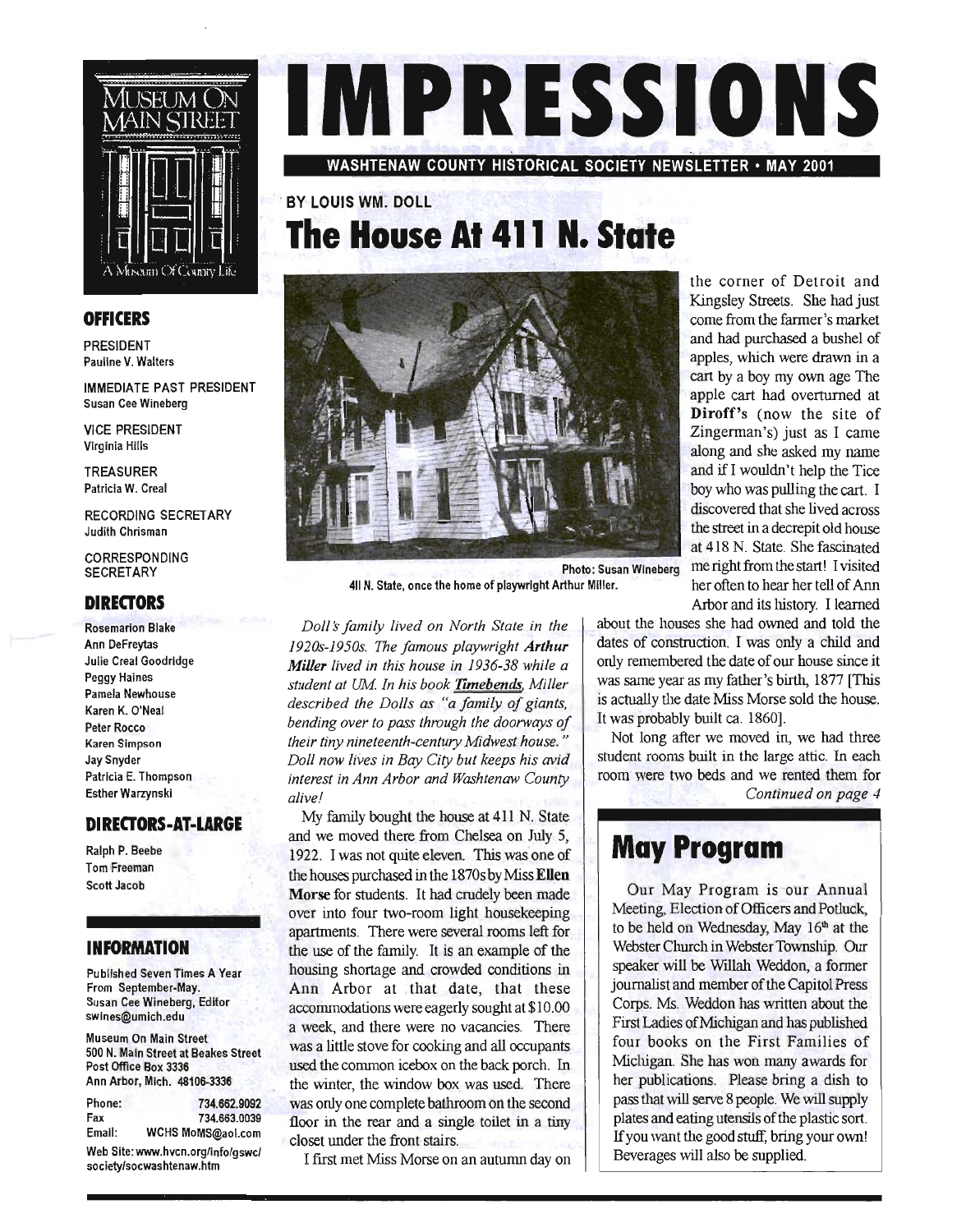

#### **OFFICERS**

PRESIDENT Pauline V. Walters

IMMEDIATE PAST PRESIDENT Susan Cee Wineberg

VICE PRESIDENT Virginia Hills

TREASURER Patricia W. Creal

RECORDING SECRETARY Judith Chrisman

CORRESPONDING JARESFUNUI<br>"ODETARY

#### **DIRECTORS**

Rosemarion Blake Ann Oeffreitangen<br>Annexe Ann DeFreytas<br>Julie Creal Goodridge Peggy Haines Pamela Newhouse Karen K. O'Neal Peter Rocco Karen Simpson Jay Snyder Patricia E. Thompson Esther Warzynski

#### **DIRECTORS-AT-LARGE**

Ralph P. Beebe Tom Freeman Scott Jacob

#### **INFORMATION**

Published Seven Times A Year ibiished Seven Times A From September-May. Susan Cee Wineberg, Editor<br>swines@umich.edu

Museum On Main Street 500 N. Main Street at Beach  $\sigma$  N. Main Street at Be Post Office Box 3336<br>Ann Arbor, Mich. 48106-3336

|        | Web Site: www.hvcn.org/info/gswc/ |
|--------|-----------------------------------|
| Email: | WCHS MoMS@aoi.com                 |
| Fax    | 734.663.0039                      |
| Phone: | 734.662.9092                      |
|        |                                   |

society/socwashtenaw.htm



WASHTENAW COUNTY HISTORICAL SOCIETY NEWSLETTER· MAY 2001

## . BY lOUIS WM~ OOll **The House At 411 N. State**



411 N. State, once the home of playwright Arthur Miller. her often to hear her tell of Ann

*Doll:S family lived on North State* in *the 1920s-1950s. The famous playwright Arthur Miller lived in this house in* 1936-38 *while a student at UM. In his book 'flmebends, Miller described the Dolls as "a family of giants, bending over to pass through the doorways of their tiny nineteenth-century Midwest house. " Doll now lives in Bay City but keeps his avid interest in Ann Arbor and Washtenaw County alive!* 

My family bought the house at 411 N. State and we moved there from Chelsea on July 5, 1922. I was not quite eleven. This was one of the houses purchased in the 1870s by Miss Ellen Morse for students. It had crudely been made over into four two-room light housekeeping apartments. There were several rooms left for the use of the family. It is an example of the housing shortage and crowded conditions in Ann Arbor at that date, that these accommodations were eagerly sought at \$10.00 a week, and there were no vacancies. There was a little stove for cooking and all occupants used the common icebox on the back porch. In the winter, the window box was used. There was only one complete bathroom on the second floor in the rear and a single toilet in a tiny closet under the front stairs.

I first met Miss Morse on an autumn day on

the corner of Detroit and Kingsley Streets. She had just come from the farmer's market and had purchased a bushel of apples, which were drawn in a cart by a boy my own age The apple cart had overturned at Diroff's (now the site of Zingerman's) just as I came along and she asked my name and ifl wouldn't help the Tice boy who was pulling the cart. I discovered that she lived across the street in a decrepit old house at 418 N. State. She fascinated Photo: Susan Wineberg me right from the start! I visited Arbor and its history. I learned

> about the houses she had owned and told the dates of construction. I was only a child and only remembered the date of our house since it was same year as my father's birth, 1877 [This is actually the date Miss Morse sold the house. It was probably built ca. 1860).

> Not long after we moved in, we had three student rooms built in the large attic. In each room were two beds and we rented them for *Continued on page 4*

## May Program

Our May Program is our Annual Meeting, Election of Officers and Potluck, to be held on Wednesday, May 16<sup>th</sup> at the Webster Church in Webster Township. Our speaker will be Willah Weddon, a former journalist and member of the Capitol Press Corps. Ms. Weddon has written about the First Ladies of Michigan and has published four books on the First Families of Michigan. She has won many awards for her publications. Please bring a dish to pass that will serve 8 people. We will supply plates and eating utensils of the plastic sort. ates and eating thensits of the plastic sort. If you want the good stuff, bring your own!<br>Beverages will also be supplied.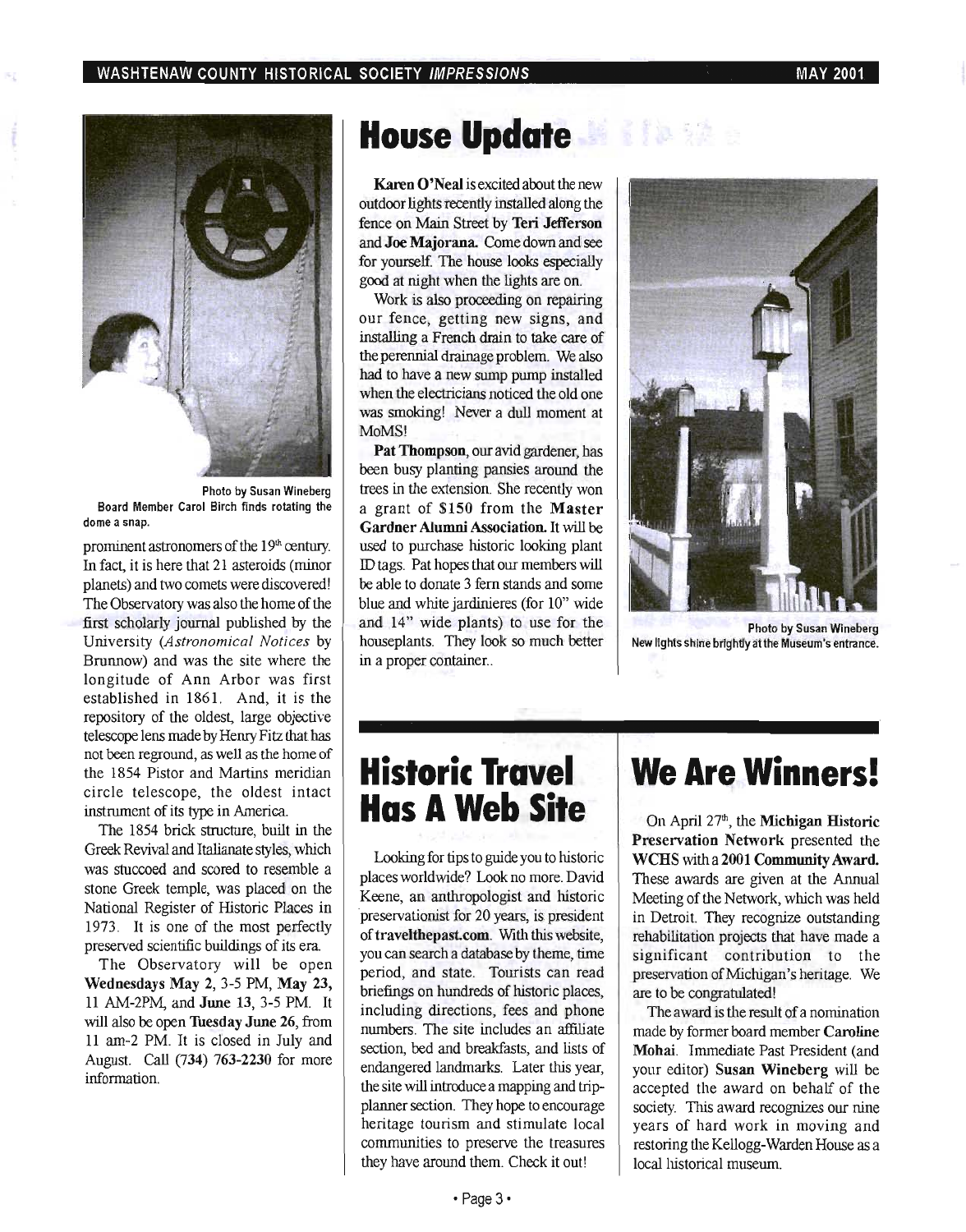

Photo by Susan Wineberg Board Member Carol Birch finds rotating the dome a snap.

prominent astronomers of the  $19<sup>th</sup>$  century. In fact, it is here that 21 asteroids (minor planets) and two comets were discovered! The Observatory was also the home of the first scholarly journal published by the University *(Astronomical Notices* by Brunnow) and was the site where the longitude of Ann Arbor was first established in 1861. And, it is the repository of the oldest, large objective telescope lens made by Henry Fitz that has not been reground, as well as the home of the 1854 Pistor and Martins meridian circle telescope, the oldest intact instrument of its type in America.

The 1854 brick structure, built in the Greek Revival and Italianate styles, which was stuccoed and scored to resemble a stone Greek temple, was placed on the National Register of Historic Places in 1973. It is one of the most perfectly preserved scientific buildings of its era.

The Observatory will be open Wednesdays May 2, 3-5 PM, May 23, 11 AM-2PM, and June 13, 3-5 PM. It will also be open Tuesday June 26, from 11 am-2 PM. It is closed in July and August. Call (734) 763-2230 for more information.

# **House Update**

Karen O'Neal is excited about the new outdoor lights recently installed along the fence on Main Street by Teri Jefferson and Joe Majorana. Come down and see for yourself. The house looks especially good at night when the lights are on.

Work is also proceeding on repairing our fence, getting new signs, and installing a French drain to take care of the perennial drainage problem. We also had to have a new sump pump installed when the electricians noticed the old one was smoking! Never a dull moment at MoMS!

Pat Thompson, our avid gardener, has been busy planting pansies around the trees in the extension. She recently won a grant of \$150 from the Master Gardner Alumni Association. It will be used to purchase historic looking plant ID tags. Pat hopes that our members will be able to donate 3 fern stands and some blue and white jardinieres (for 10" wide and 14" wide plants) to use for the houseplants. They look so much better in a proper container...



Photo by Susan Wineberg New lights shine brightly at the Museum's entrance.

## **Historic Travel Has A Web Site**

Looking for tips to guide you to historic places worldwide? Look no more. David Keene, an anthropologist and historic 'preservationist for 20 years, is president of travelthepast.com. With this website, you can search a database by theme, time period, and state. Tourists can read briefings on hundreds of historic places, including directions, fees and phone numbers. The site includes an affiliate section, bed and breakfasts, and lists of endangered landmarks. Later this year, the site will introduce a mapping and tripplanner section. They hope to encourage heritage tourism and stimulate local communities to preserve the treasures they have around them. Check it out!

## **We Are Winners!**

On April  $27<sup>th</sup>$ , the **Michigan Historic** Preservation Network presented the WCBS with a 2001 Community Award. These awards are given at the Annual Meeting of the Network, which was held in Detroit. They recognize outstanding rehabilitation projects that have made a significant contribution to the preservation of Michigan 's heritage. We are to be congratulated!

The award is the result of a nomination made by former board member Caroline Mohai. Immediate Past President (and your editor) Susan Wineberg will be accepted the award on behalf of the society. This award recognizes our nine years of hard work in moving and restoring the Kellogg-Warden House as a local historical museum.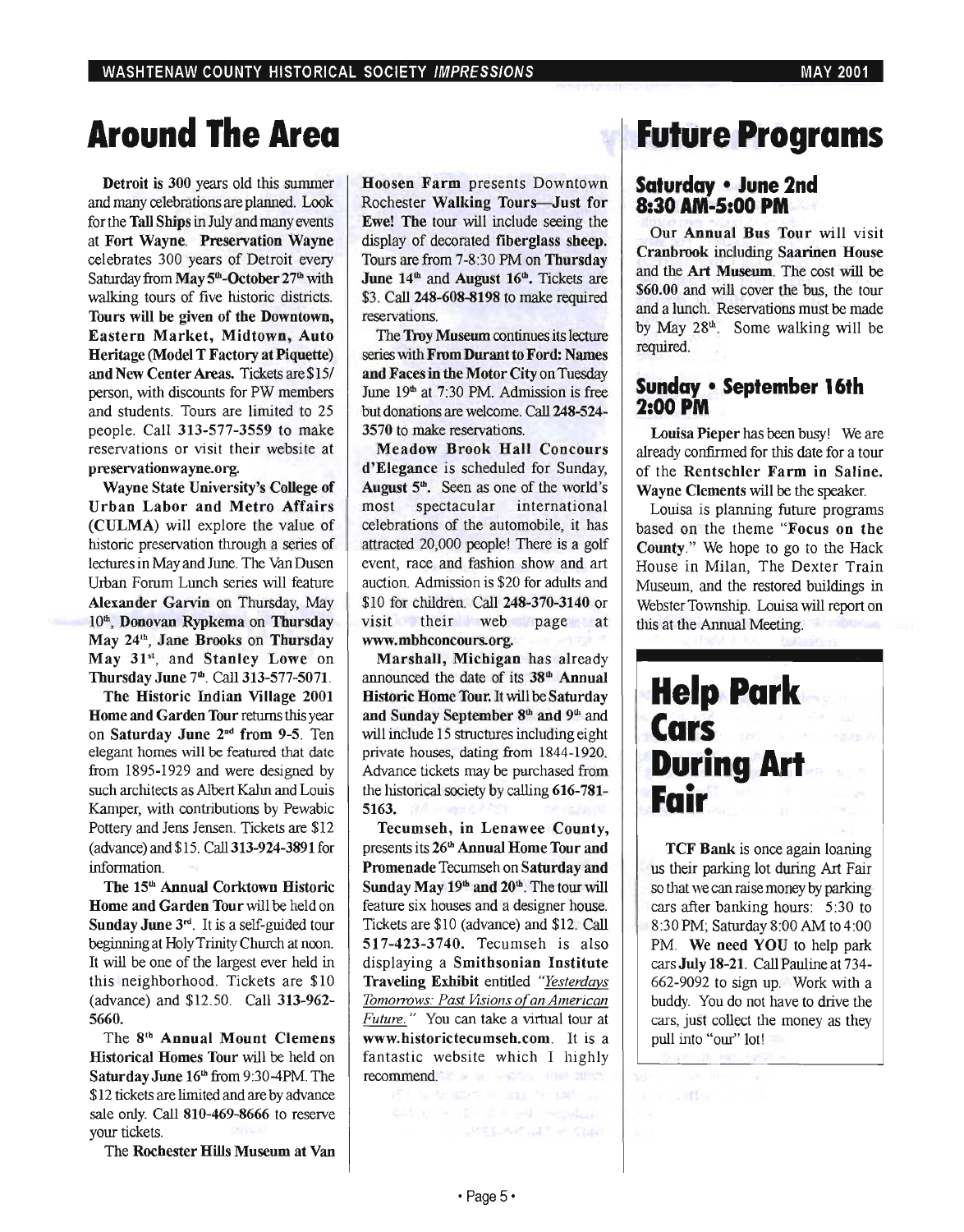# **Around The Area**

Detroit is 300 years old this summer and many celebrations are planned. Look for the Tall Ships in July and many events at Fort Wayne. Preservation Wayne celebrates 300 years of Detroit every Saturday from  $\text{May 5}^{\text{th}}$ -October 27<sup>th</sup> with walking tours of five historic districts. Tours will be given of the Downtown, Eastern Market, Midtown, Auto Heritage (Model T Factory at Piquette) and New Center Areas. Tickets are \$15/ person, with discounts for PW members and students. Tours are limited to 25 people. Call 313-577-3559 to make reservations or visit their website at preservationwayne.org.

Wayne State University's College of Urban Labor and Metro Affairs (CULMA) will explore the value of historic preservation through a series of lectures in May and June. The Van Dusen Urban Forum Lunch series will feature Alexander Garvin on Thursday, May 10<sup>th</sup>, Donovan Rypkema on Thursday May 24<sup>th</sup>, Jane Brooks on Thursday May 31st, and Stanley Lowe on Thursday June 7<sup>th</sup>. Call 313-577-5071.

The Historic Indian Village 2001 Home and Garden Tour returns this year on Saturday June 2<sup>nd</sup> from 9-5. Ten elegant homes will be featured that date from 1895-1929 and were designed by such architects as Albert Kahn and Louis Kamper, with contributions by Pewabic Pottery and Jens Jensen. Tickets are \$12 (advance) and \$15. Call 313-924-3891 for information.

The 15<sup>th</sup> Annual Corktown Historic Home and Garden Tour will be held on Sunday June 3rd. It is a self-guided tour beginning at Holy Trinity Church at noon. It will be one of the largest ever held in this neighborhood. Tickets are \$10 (advance) and \$12.50. Call 313-962- 5660.

The 8th Annual Mount Clemens Historical Homes Tour will be held on Saturday June 16<sup>th</sup> from 9:30-4PM. The \$12 tickets are limited and are by advance sale only. Call 810-469-8666 to reserve your tickets.

The Rochester Hills Museum at Van

Hoosen Farm presents Downtown Rochester Walking Tour§-Just for Ewe! The tour will include seeing the display of decorated fiberglass sheep. Tours are from 7-8:30 PM on Thursday June  $14<sup>th</sup>$  and August  $16<sup>th</sup>$ . Tickets are \$3. Call 248-608-8198 to make required reservations.

The Troy Museum oontinues its lecture series with From Durant to Ford: Names and Faces in the Motor City on Tuesday June 19<sup>th</sup> at 7:30 PM. Admission is free but donations are welcome. Call 248-524- 3570 to make reservations.

Meadow Brook Hall Concours d'Elegance is scheduled for Sunday, August  $5<sup>th</sup>$ . Seen as one of the world's most spectacular international celebrations of the automobile, it has attracted 20,000 people! There is a golf event, race and fashion show and art auction. Admission is \$20 for adults and \$10 for children. Call 248-370-3140 or visit their web page at www.mbhconcours.org.

Marshall, Michigan has already announced the date of its 38<sup>th</sup> Annual Historic Home Tour. It will be Saturday and Sunday September 8<sup>th</sup> and 9<sup>th</sup> and will include 15 structures including eight private houses, dating from 1844-1920. Advance tickets may be purchased from the historical society by calling 616-781- 5163.

Tecumseh, in Lenawee County, presents its 26<sup>th</sup> Annual Home Tour and Promenade Tecumseh on Saturday and Sunday May  $19<sup>th</sup>$  and  $20<sup>th</sup>$ . The tour will feature six houses and a designer house. Tickets are \$10 (advance) and \$12. Call 517-423-3740. Tecumseh is also displaying a Smithsonian Institute Traveling Exhibit entitled *"Yesterdays Tomorrows: Past Visions o[an American Future."* You can take a virtual tour at www.historictecumseh.com. It is a fantastic website which I highly recommend.

## **Future Programs**

### **Saturday • June 2nd 8:30 AM-5:00 PM**

Our Annual Bus Tour will visit Cranbrook inCluding Saarinen House and the Art Museum. The cost will be \$60.00 and will cover the bus, the tour and a lunch. Reservations must be made by May  $28<sup>th</sup>$ . Some walking will be required.

## **Sunday • September 16th 2:00 PM**

Louisa Pieper has been busy! We are already confirmed for this date for a tour of the Rentschler Farm in Saline. Wayne Clements will be the speaker.

Louisa is planning future programs based on the theme "Focus on the County." We hope to go to the Hack House in Milan, The Dexter Train Museum, and the restored buildings in Webster Township. Louisa will report on this at the Annual Meeting.



TCF Bank is once again loaning us their parking lot during Art Fair so that we can raise money by parking cars after banking hours: 5:30 to 8:30 PM; Saturday 8:00 AM to 4:00 PM. We need YOU to help park cars July 18-21. Call Pauline at 734- 662-9092 to sign up. Work with a buddy. You do not have to drive the cars, just collect the money as they pull into "our" lot!

a confirmation

**ANSS ARRIVERS COLLS**